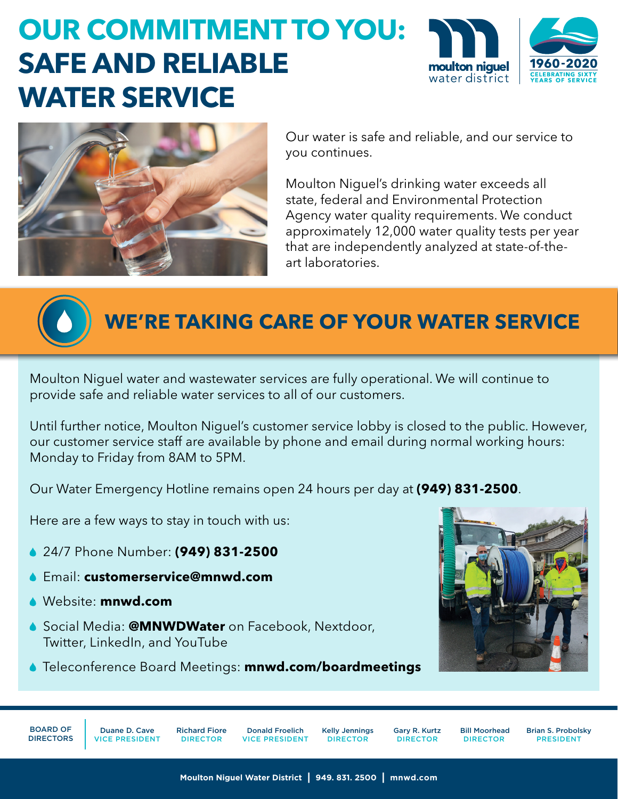## **OUR COMMITMENT TO YOU: SAFE AND RELIABLE WATER SERVICE**





Our water is safe and reliable, and our service to you continues.

Moulton Niguel's drinking water exceeds all state, federal and Environmental Protection Agency water quality requirements. We conduct approximately 12,000 water quality tests per year that are independently analyzed at state-of-theart laboratories.



## **WE'RE TAKING CARE OF YOUR WATER SERVICE**

Moulton Niguel water and wastewater services are fully operational. We will continue to provide safe and reliable water services to all of our customers.

Until further notice, Moulton Niguel's customer service lobby is closed to the public. However, our customer service staff are available by phone and email during normal working hours: Monday to Friday from 8AM to 5PM.

Our Water Emergency Hotline remains open 24 hours per day at **(949) 831-2500**.

Here are a few ways to stay in touch with us:

- 24/7 Phone Number: **(949) 831-2500**
- Email: **[customerservice@mnwd.com](mailto:customerservice%40mnwd.com?subject=)**
- Website: **[mnwd.com](https://www.mnwd.com/)**
- Social Media: **@MNWDWater** on [Facebook](https://www.facebook.com/MNWDWater/), [Nextdoor](https://nextdoor.com/pages/moulton-niguel-water-district-laguna-niguel-ca/), [Twitter](https://twitter.com/mnwdwater), [LinkedIn](https://www.linkedin.com/company/mnwdwater/), and [YouTube](https://www.youtube.com/channel/UCsMMfELe23X82h783yziosg/videos)
- Teleconference Board Meetings: **[mnwd.com/boardmeetings](https://www.mnwd.com/boardmeetings/)**



BOARD OF DIRECTORS

Duane D. Cave VICE PRESIDENT

Richard Fiore DIRECTOR

Donald Froelich VICE PRESIDENT Kelly Jennings DIRECTOR

Gary R. Kurtz DIRECTOR

 Bill Moorhead DIRECTOR

Brian S. Probolsky PRESIDENT